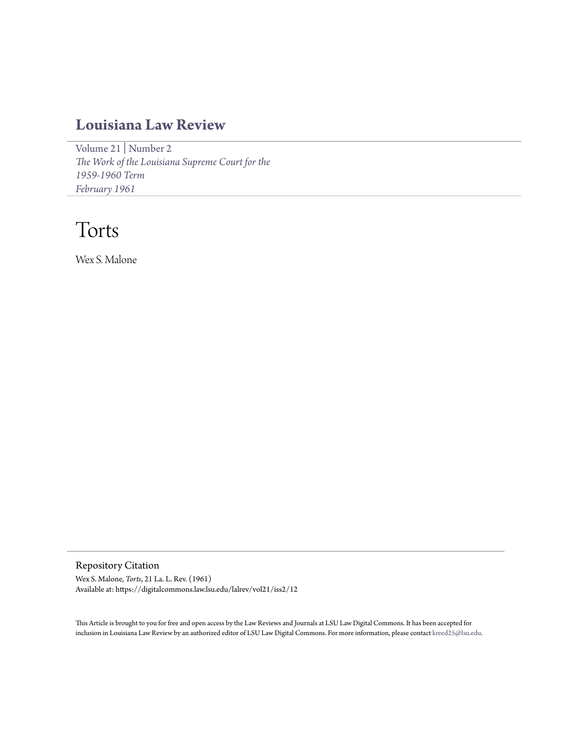## **[Louisiana Law Review](https://digitalcommons.law.lsu.edu/lalrev)**

[Volume 21](https://digitalcommons.law.lsu.edu/lalrev/vol21) | [Number 2](https://digitalcommons.law.lsu.edu/lalrev/vol21/iss2) *[The Work of the Louisiana Supreme Court for the](https://digitalcommons.law.lsu.edu/lalrev/vol21/iss2) [1959-1960 Term](https://digitalcommons.law.lsu.edu/lalrev/vol21/iss2) [February 1961](https://digitalcommons.law.lsu.edu/lalrev/vol21/iss2)*

# Torts

Wex S. Malone

Repository Citation

Wex S. Malone, *Torts*, 21 La. L. Rev. (1961) Available at: https://digitalcommons.law.lsu.edu/lalrev/vol21/iss2/12

This Article is brought to you for free and open access by the Law Reviews and Journals at LSU Law Digital Commons. It has been accepted for inclusion in Louisiana Law Review by an authorized editor of LSU Law Digital Commons. For more information, please contact [kreed25@lsu.edu](mailto:kreed25@lsu.edu).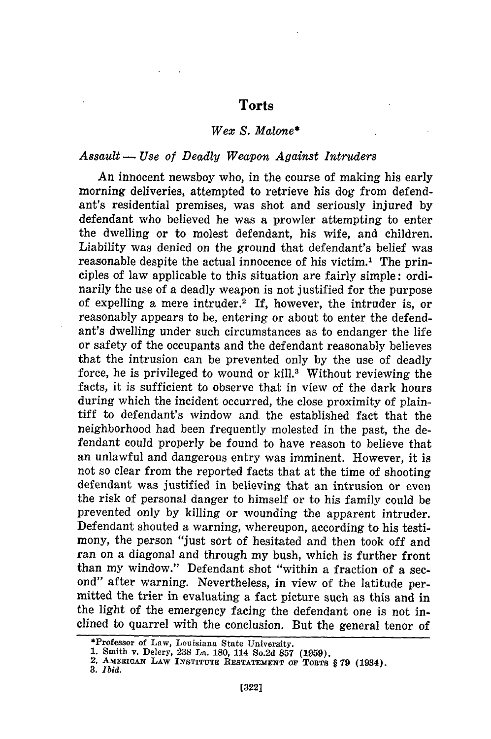### **Torts**

#### *Wex S. Malone\**

#### *Assault - Use of Deadly Weapon Against Intruders*

An innocent newsboy who, in the course of making his early morning deliveries, attempted to retrieve his dog from defendant's residential premises, was shot and seriously injured by defendant who believed he was a prowler attempting to enter the dwelling or to molest defendant, his wife, and children. Liability was denied on the ground that defendant's belief was reasonable despite the actual innocence of his victim.' The principles of law applicable to this situation are fairly simple: ordinarily the use of a deadly weapon is not justified for the purpose of expelling a mere intruder.<sup>2</sup> If, however, the intruder is, or reasonably appears to be, entering or about to enter the defendant's dwelling under such circumstances as to endanger the life or safety of the occupants and the defendant reasonably believes that the intrusion can be prevented only by the use of deadly force, he is privileged to wound or kill.<sup>3</sup> Without reviewing the facts, it is sufficient to observe that in view of the dark hours during which the incident occurred, the close proximity of plaintiff to defendant's window and the established fact that the neighborhood had been frequently molested in the past, the defendant could properly be found to have reason to believe that an unlawful and dangerous entry was imminent. However, it is not so clear from the reported facts that at the time of shooting defendant was justified in believing that an intrusion or even the risk of personal danger to himself or to his family could be prevented only by killing or wounding the apparent intruder. Defendant shouted a warning, whereupon, according to his testimony, the person "just sort of hesitated and then took off and ran on a diagonal and through my bush, which is further front than my window." Defendant shot "within a fraction of a second" after warning. Nevertheless, in view of the latitude permitted the trier in evaluating a fact picture such as this and in the light of the emergency facing the defendant one is not inclined to quarrel with the conclusion. But the general tenor of

<sup>\*</sup>Professor of Law, Louisiana State University.

**<sup>1.</sup>** Smith v. Delery, **238** La. **180,** 114 So.2d **857 (1959). 2. AMERICAN LAW INSTITUTE RESTATEMENT OF TORTS** § **79 (1934). 3.** *Ibid.*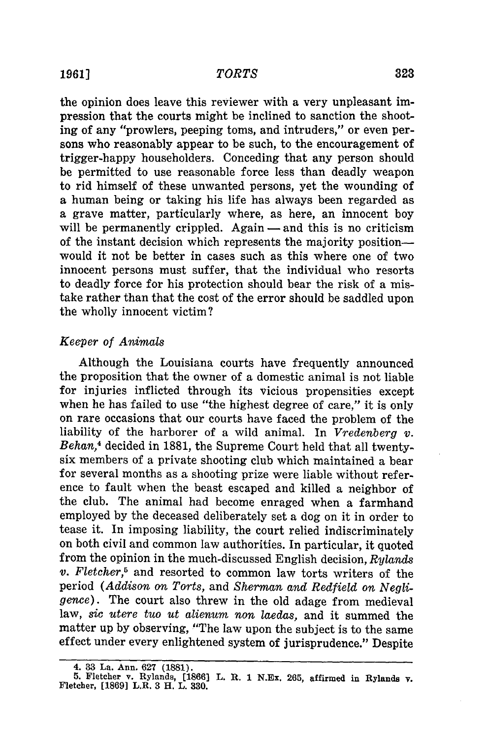the opinion does leave this reviewer with a very unpleasant impression that the courts might be inclined to sanction the shooting of any "prowlers, peeping toms, and intruders," or even persons who reasonably appear to be such, to the encouragement of trigger-happy householders. Conceding that any person should be permitted to use reasonable force less than deadly weapon to rid himself of these unwanted persons, yet the wounding of a human being or taking his life has always been regarded as a grave matter, particularly where, as here, an innocent boy will be permanently crippled. Again — and this is no criticism of the instant decision which represents the majority positionwould it not be better in cases such as this where one of two innocent persons must suffer, that the individual who resorts to deadly force for his protection should bear the risk of a mistake rather than that the cost of the error should be saddled upon the wholly innocent victim?

#### *Keeper of Animals*

Although the Louisiana courts have frequently announced the proposition that the owner of a domestic animal is not liable for injuries inflicted through its vicious propensities except when he has failed to use "the highest degree of care," it is only on rare occasions that our courts have faced the problem of the liability of the harborer of a wild animal. In *Vredenberg v. Behan,4* decided in 1881, the Supreme Court held that all twentysix members of a private shooting club which maintained a bear for several months as a shooting prize were liable without reference to fault when the beast escaped and killed a neighbor of the club. The animal had become enraged when a farmhand employed by the deceased deliberately set a dog on it in order to tease it. In imposing liability, the court relied indiscriminately on both civil and common law authorities. In particular, it quoted from the opinion in the much-discussed English decision, *Rylands v. Fletcher,5* and resorted to common law torts writers of the period *(Addison on Torts,* and *Sherman and Redfield on Negligence).* The court also threw in the old adage from medieval law, *sic utere tuo ut alienum non laedas,* and it summed the matter up by observing, "The law upon the subject is to the same effect under every enlightened system of jurisprudence." Despite

<sup>4.</sup> **33 La.** Ann. **627 (1881). 5.** Fletcher v. Rylands, **[1866] L. R. 1** N.Ex. **265,** affirmed **in Rylands v.** Fletcher, **[1869]** L.R. **3** H. L. **330.**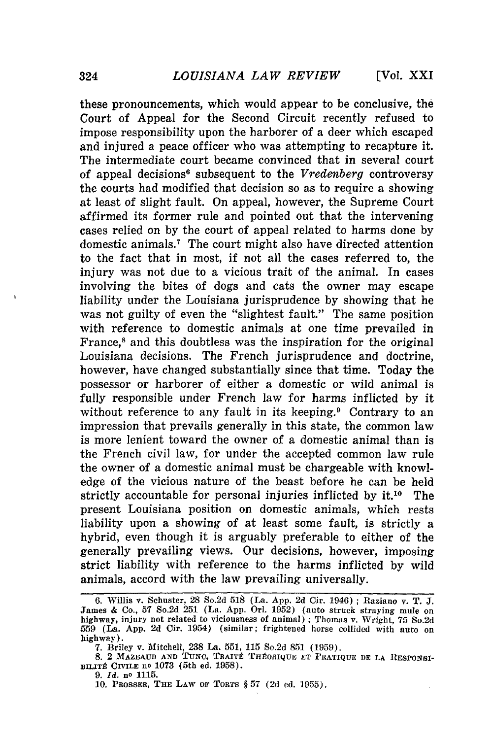these pronouncements, which would appear to be conclusive, the Court of Appeal for the Second Circuit recently refused to impose responsibility upon the harborer of a deer which escaped and injured a peace officer who was attempting to recapture it. The intermediate court became convinced that in several court of appeal decisions<sup>6</sup> subsequent to the *Vredenberg* controversy the courts had modified that decision so as to require a showing at least of slight fault. On appeal, however, the Supreme Court affirmed its former rule and pointed out that the intervening cases relied on by the court of appeal related to harms done by domestic animals.<sup>7</sup> The court might also have directed attention to the fact that in most, if not all the cases referred to, the injury was not due to a vicious trait of the animal. In cases involving the bites of dogs and cats the owner may escape liability under the Louisiana jurisprudence by showing that he was not guilty of even the "slightest fault." The same position with reference to domestic animals at one time prevailed in France,<sup>8</sup> and this doubtless was the inspiration for the original Louisiana decisions. The French jurisprudence and doctrine, however, have changed substantially since that time. Today the possessor or harborer of either a domestic or wild animal is fully responsible under French law for harms inflicted by it without reference to any fault in its keeping.<sup>9</sup> Contrary to an impression that prevails generally in this state, the common law is more lenient toward the owner of a domestic animal than is the French civil law, for under the accepted common law rule the owner of a domestic animal must be chargeable with knowledge of the vicious nature of the beast before he can be held strictly accountable for personal injuries inflicted by it.<sup>10</sup> The present Louisiana position on domestic animals, which rests liability upon a showing of at least some fault, is strictly a hybrid, even though it is arguably preferable to either of the generally prevailing views. Our decisions, however, imposing strict liability with reference to the harms inflicted by wild animals, accord with the law prevailing universally.

<sup>6.</sup> Willis v. Schuster, 28 So.2d 518 (La. App. 2d Cir. 1946) **;** Raziano v. T. J. James **&** Co., 57 So.2d 251 (La. App. Orl. 1952) (auto struck straying mule on highway, injury not related to viciousness of animal) **;** Thomas v. Wright, 75 So.2d 559 (La. App. 2d Cir. 1954) (similar; frightened horse collided with auto on highway).

<sup>7.</sup> Briley v. Mitchell, 238 La. 551, 115 So.2d 851 (1959).

<sup>8. 2</sup> MAZEAUD AND TUNC, TRAITÉ THÉORIQUE ET PRATIQUE DE LA RESPONSI-BILITÉ CIVILE nº 1073 (5th ed. 1958).

<sup>9.</sup> *Id.* no 1115.

<sup>10.</sup> **PROSSER, THE** LAW OF TORTS § 57 (2d ed. 1955).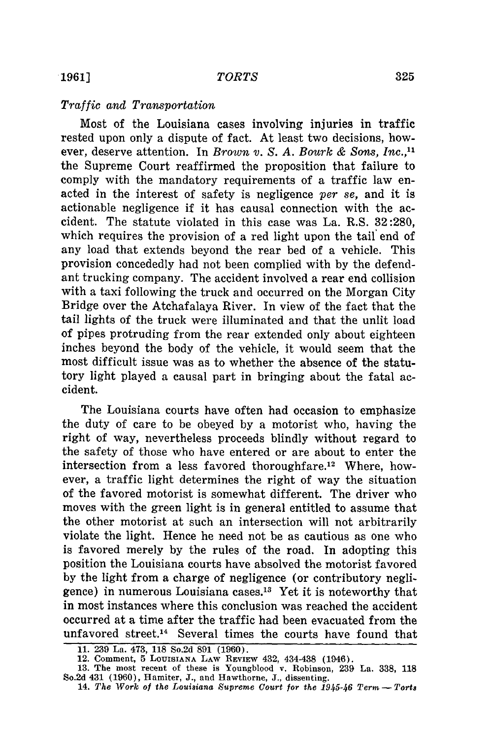#### *Traffic and Transportation*

Most of the Louisiana cases involving injuries in traffic rested upon only a dispute of fact. At least two decisions, however, deserve attention. In *Brown v. S. A. Bourk & Sons, Inc.,"* the Supreme Court reaffirmed the proposition that failure to comply with the mandatory requirements of a traffic law enacted in the interest of safety is negligence *per* se, and it is actionable negligence if it has causal connection with the accident. The statute violated in this case was La. R.S. 32 :280, which requires the provision of a red light upon the tail end of any load that extends beyond the rear bed of a vehicle. This provision concededly had not been complied with by the defendant trucking company. The accident involved a rear end collision with a taxi following the truck and occurred on the Morgan City Bridge over the Atchafalaya River. In view of the fact that the tail lights of the truck were illuminated and that the unlit load of pipes protruding from the rear extended only about eighteen inches beyond the body of the vehicle, it would seem that the most difficult issue was as to whether the absence of the statutory light played a causal part in bringing about the fatal accident.

The Louisiana courts have often had occasion to emphasize the duty of care to be obeyed by a motorist who, having the right of way, nevertheless proceeds blindly without regard to the safety of those who have entered or are about to enter the intersection from a less favored thoroughfare.<sup>12</sup> Where, however, a traffic light determines the right of way the situation of the favored motorist is somewhat different. The driver who moves with the green light is in general entitled to assume that the other motorist at such an intersection will not arbitrarily violate the light. Hence he need not be as cautious as one who is favored merely by the rules of the road. In adopting this position the Louisiana courts have absolved the motorist favored by the light from a charge of negligence (or contributory negligence) in numerous Louisiana cases.<sup>13</sup> Yet it is noteworthy that in most instances where this conclusion was reached the accident occurred at a time after the traffic had been evacuated from the unfavored street.14 Several times the courts have found that

**<sup>11. 239</sup>** La. 473, **118** So.2d **891 (1960).**

<sup>12.</sup> Comment, **5 LOUISIANA** LAw REVIEW 432, 434438 (1946).

**<sup>13.</sup>** The most recent of these is Youngblood v. Robinson, **239** La. **338, 118** So.2d 431 **(1960),** Hamiter, **J.,** and Hawthorne, **J.,** dissenting.

**<sup>14.</sup>** *The Work of the Louisiana Supreme Court for the 1945-46 Term* **-** *Torts*